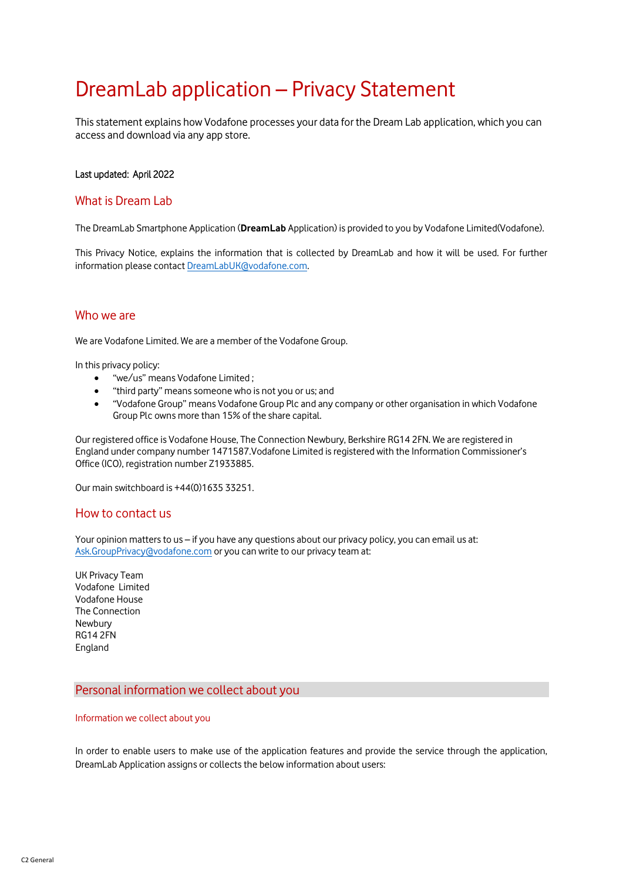# DreamLab application – Privacy Statement

This statement explains how Vodafone processes your data for the Dream Lab application, which you can access and download via any app store.

## Last updated: April 2022

# What is Dream Lab

The DreamLab Smartphone Application (**DreamLab** Application) is provided to you by Vodafone Limited(Vodafone).

This Privacy Notice, explains the information that is collected by DreamLab and how it will be used. For further information please contact [DreamLabUK@vodafone.com.](mailto:DreamLabUK@vodafone.com)

# Who we are

We are Vodafone Limited. We are a member of the Vodafone Group.

In this privacy policy:

- "we/us" means Vodafone Limited ;
- "third party" means someone who is not you or us; and
- "Vodafone Group" means Vodafone Group Plc and any company or other organisation in which Vodafone Group Plc owns more than 15% of the share capital.

Our registered office is Vodafone House, The Connection Newbury, Berkshire RG14 2FN. We are registered in England under company number 1471587.Vodafone Limited is registered with the Information Commissioner's Office (ICO), registration number Z1933885.

Our main switchboard is +44(0)1635 33251.

## How to contact us

Your opinion matters to us – if you have any questions about our privacy policy, you can email us at: [Ask.GroupPrivacy@vodafone.com](mailto:Ask.GroupPrivacy@vodafone.com) or you can write to our privacy team at:

UK Privacy Team Vodafone Limited Vodafone House The Connection Newbury RG14 2FN England

## Personal information we collect about you

#### Information we collect about you

In order to enable users to make use of the application features and provide the service through the application, DreamLab Application assigns or collects the below information about users: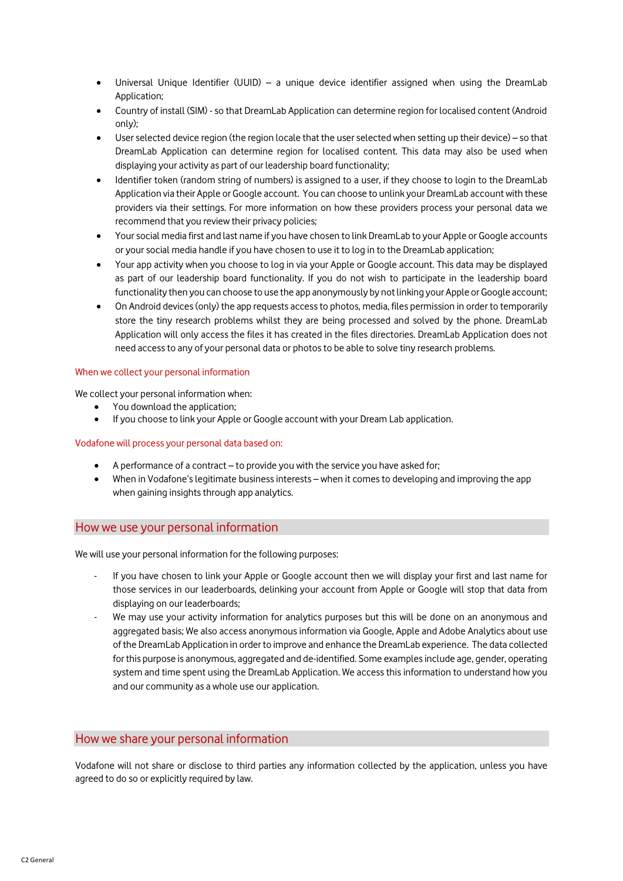- Universal Unique Identifier (UUID) a unique device identifier assigned when using the DreamLab Application;
- Country of install (SIM) -so that DreamLab Application can determine region for localised content (Android only);
- User selected device region (the region locale that the user selected when setting up their device) so that DreamLab Application can determine region for localised content. This data may also be used when displaying your activity as part of our leadership board functionality;
- Identifier token (random string of numbers) is assigned to a user, if they choose to login to the DreamLab Application via their Apple or Google account. You can choose to unlink your DreamLab account with these providers via their settings. For more information on how these providers process your personal data we recommend that you review their privacy policies;
- Your social media first and last name if you have chosen to link DreamLab to your Apple or Google accounts or your social media handle if you have chosen to use it to log in to the DreamLab application;
- Your app activity when you choose to log in via your Apple or Google account. This data may be displayed as part of our leadership board functionality. If you do not wish to participate in the leadership board functionality then you can choose to use the app anonymously by not linking your Apple or Google account;
- On Android devices (only) the app requests access to photos, media, files permission in order to temporarily store the tiny research problems whilst they are being processed and solved by the phone. DreamLab Application will only access the files it has created in the files directories. DreamLab Application does not need access to any of your personal data or photos to be able to solve tiny research problems.

## When we collect your personal information

We collect your personal information when:

- You download the application;
- If you choose to link your Apple or Google account with your Dream Lab application.

## Vodafone will process your personal data based on:

- A performance of a contract to provide you with the service you have asked for;
- When in Vodafone's legitimate business interests when it comes to developing and improving the app when gaining insights through app analytics.

## How we use your personal information

We will use your personal information for the following purposes:

- If you have chosen to link your Apple or Google account then we will display your first and last name for those services in our leaderboards, delinking your account from Apple or Google will stop that data from displaying on our leaderboards;
- We may use your activity information for analytics purposes but this will be done on an anonymous and aggregated basis; We also access anonymous information via Google, Apple and Adobe Analytics about use of the DreamLab Application in order to improve and enhance the DreamLab experience. The data collected for this purpose is anonymous, aggregated and de-identified. Some examples include age, gender, operating system and time spent using the DreamLab Application. We access this information to understand how you and our community as a whole use our application.

# How we share your personal information

Vodafone will not share or disclose to third parties any information collected by the application, unless you have agreed to do so or explicitly required by law.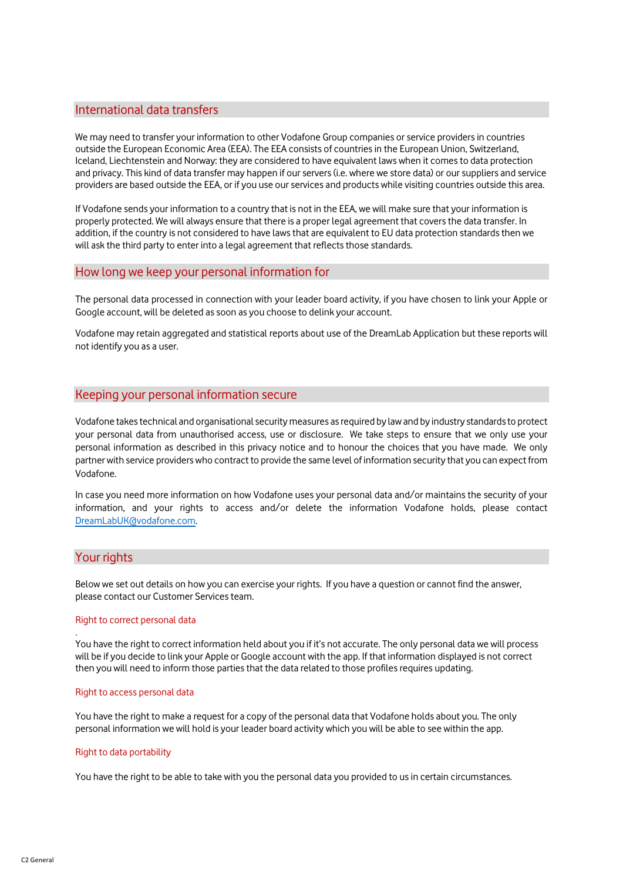# International data transfers

We may need to transfer your information to other Vodafone Group companies or service providers in countries outside the European Economic Area (EEA). The EEA consists of countries in the European Union, Switzerland, Iceland, Liechtenstein and Norway: they are considered to have equivalent laws when it comes to data protection and privacy. This kind of data transfer may happen if our servers (i.e. where we store data) or our suppliers and service providers are based outside the EEA, or if you use our services and products while visiting countries outside this area.

If Vodafone sends your information to a country that is not in the EEA, we will make sure that your information is properly protected. We will always ensure that there is a proper legal agreement that covers the data transfer. In addition, if the country is not considered to have laws that are equivalent to EU data protection standards then we will ask the third party to enter into a legal agreement that reflects those standards.

## How long we keep your personal information for

The personal data processed in connection with your leader board activity, if you have chosen to link your Apple or Google account, will be deleted as soon as you choose to delink your account.

Vodafone may retain aggregated and statistical reports about use of the DreamLab Application but these reports will not identify you as a user.

# Keeping your personal information secure

Vodafone takes technical and organisational security measures as required by law and by industry standards to protect your personal data from unauthorised access, use or disclosure. We take steps to ensure that we only use your personal information as described in this privacy notice and to honour the choices that you have made. We only partner with service providers who contract to provide the same level of information security that you can expect from Vodafone.

In case you need more information on how Vodafone uses your personal data and/or maintains the security of your information, and your rights to access and/or delete the information Vodafone holds, please contact [DreamLabUK@vodafone.com.](mailto:DreamLabUK@vodafone.com)

## Your rights

.

Below we set out details on how you can exercise your rights. If you have a question or cannot find the answer, please contact our Customer Services team.

#### Right to correct personal data

You have the right to correct information held about you if it's not accurate. The only personal data we will process will be if you decide to link your Apple or Google account with the app. If that information displayed is not correct then you will need to inform those parties that the data related to those profiles requires updating.

#### Right to access personal data

You have the right to make a request for a copy of the personal data that Vodafone holds about you. The only personal information we will hold is your leader board activity which you will be able to see within the app.

#### Right to data portability

You have the right to be able to take with you the personal data you provided to us in certain circumstances.